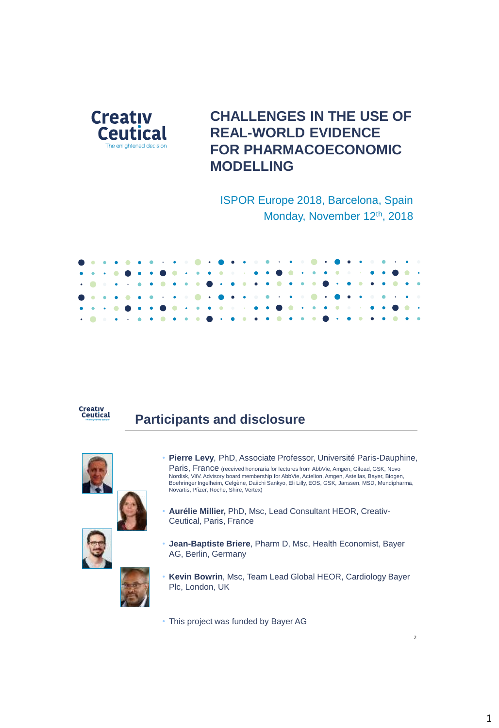

# **CHALLENGES IN THE USE OF REAL-WORLD EVIDENCE FOR PHARMACOECONOMIC MODELLING**

ISPOR Europe 2018, Barcelona, Spain Monday, November 12<sup>th</sup>, 2018





### **Participants and disclosure**



- **Pierre Levy**, PhD, Associate Professor, Université Paris-Dauphine, Paris, France (received honoraria for lectures from AbbVie, Amgen, Gilead, GSK, Novo Nordisk, ViiV. Advisory board membership for AbbVie, Actelion, Amgen, Astellas, Bayer, Biogen, Boehringer Ingelheim, Celgène, Daiichi Sankyo, Eli Lilly, EOS, GSK, Janssen, MSD, Mundipharma, Novartis, Pfizer, Roche, Shire, Vertex)
- **Aurélie Millier,** PhD, Msc, Lead Consultant HEOR, Creativ-Ceutical, Paris, France
- **Jean-Baptiste Briere**, Pharm D, Msc, Health Economist, Bayer AG, Berlin, Germany
- **Kevin Bowrin**, Msc, Team Lead Global HEOR, Cardiology Bayer Plc, London, UK
- This project was funded by Bayer AG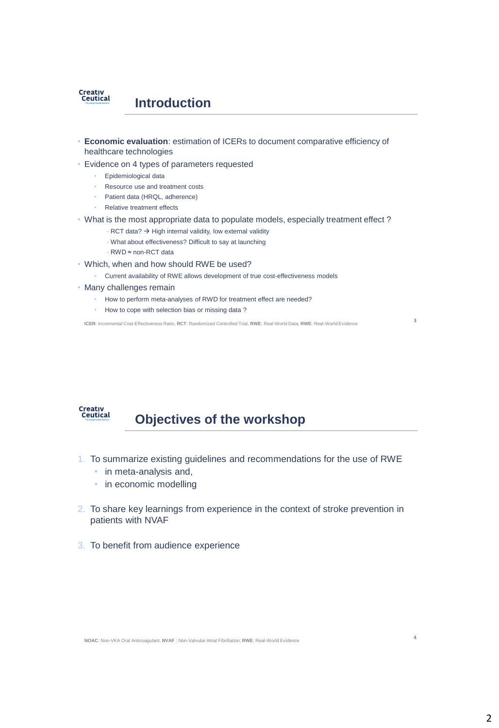

- **Economic evaluation**: estimation of ICERs to document comparative efficiency of healthcare technologies
- Evidence on 4 types of parameters requested
	- Epidemiological data
	- Resource use and treatment costs
	- Patient data (HRQL, adherence)
	- Relative treatment effects
- What is the most appropriate data to populate models, especially treatment effect ?
	- $\cdot$  RCT data?  $\rightarrow$  High internal validity, low external validity
	- What about effectiveness? Difficult to say at launching
	- RWD ≈ non-RCT data
- Which, when and how should RWE be used?
	- Current availability of RWE allows development of true cost-effectiveness models
- Many challenges remain
	- How to perform meta-analyses of RWD for treatment effect are needed?
	- How to cope with selection bias or missing data ?

**ICER**: Incremental Cost-Effectiveness Ratio, **RCT**: Randomized Controlled Trial, **RWE**: Real-World Data; **RWE**: Real-World Evidence **3**



### **Objectives of the workshop**

- 1. To summarize existing guidelines and recommendations for the use of RWE
	- in meta-analysis and,
	- in economic modelling
- 2. To share key learnings from experience in the context of stroke prevention in patients with NVAF
- 3. To benefit from audience experience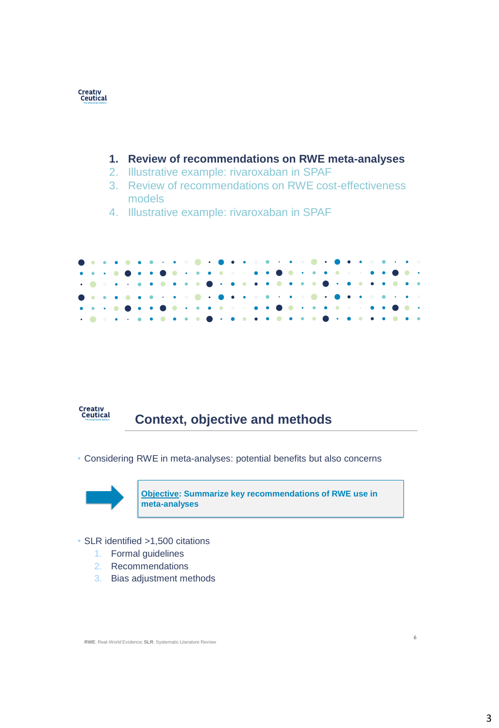

#### **1. Review of recommendations on RWE meta-analyses**

- 2. Illustrative example: rivaroxaban in SPAF
- 3. Review of recommendations on RWE cost-effectiveness models
- 4. Illustrative example: rivaroxaban in SPAF





# **Context, objective and methods**

• Considering RWE in meta-analyses: potential benefits but also concerns



**Objective: Summarize key recommendations of RWE use in meta-analyses**

- SLR identified >1,500 citations
	- 1. Formal guidelines
	- 2. Recommendations
	- 3. Bias adjustment methods

**RWE**: Real-World Evidence; **SLR**: Systematic Literature Review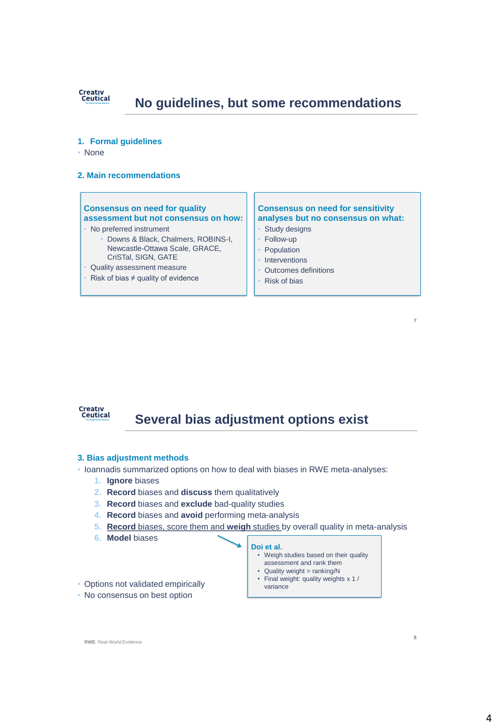

### **No guidelines, but some recommendations**

- **1. Formal guidelines**
- None
- **2. Main recommendations**

#### **Consensus on need for quality assessment but not consensus on how:**

- No preferred instrument
	- Downs & Black, Chalmers, ROBINS-I, Newcastle-Ottawa Scale, GRACE, CriSTal, SIGN, GATE
- Quality assessment measure
- Risk of bias  $\neq$  quality of evidence

#### **Consensus on need for sensitivity analyses but no consensus on what:**

**7**

**8**

- Study designs
- Follow-up
- **Population**
- **Interventions**
- Outcomes definitions
- Risk of bias



### **Several bias adjustment options exist**

- **3. Bias adjustment methods**
- Ioannadis summarized options on how to deal with biases in RWE meta-analyses:
	- **1. Ignore** biases
	- **2. Record** biases and **discuss** them qualitatively
	- **3. Record** biases and **exclude** bad-quality studies
	- **4. Record** biases and **avoid** performing meta-analysis
	- **5. Record** biases, score them and **weigh** studies by overall quality in meta-analysis
	- **6. Model** biases

#### **Doi et al.**

- Weigh studies based on their quality assessment and rank them • Quality weight = ranking/N
- Final weight: quality weights x 1 / variance
- Options not validated empirically
- No consensus on best option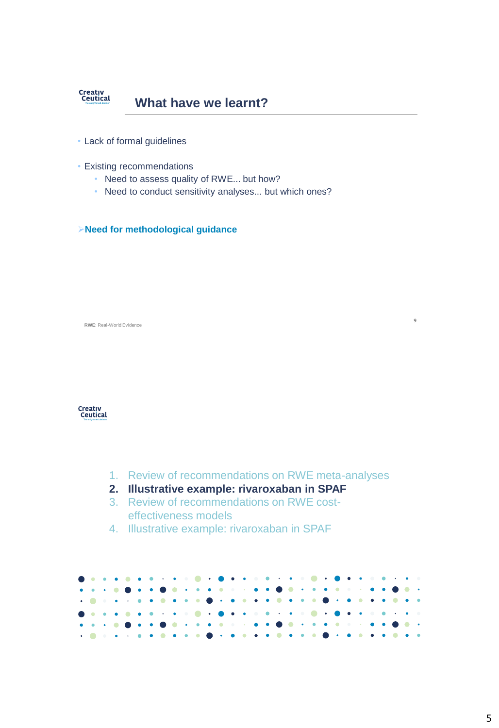

- Lack of formal guidelines
- Existing recommendations
	- Need to assess quality of RWE... but how?
	- Need to conduct sensitivity analyses... but which ones?

**Need for methodological guidance**

**RWE**: Real-World Evidence



- 1. Review of recommendations on RWE meta-analyses
- **2. Illustrative example: rivaroxaban in SPAF**
- 3. Review of recommendations on RWE costeffectiveness models
- 4. Illustrative example: rivaroxaban in SPAF

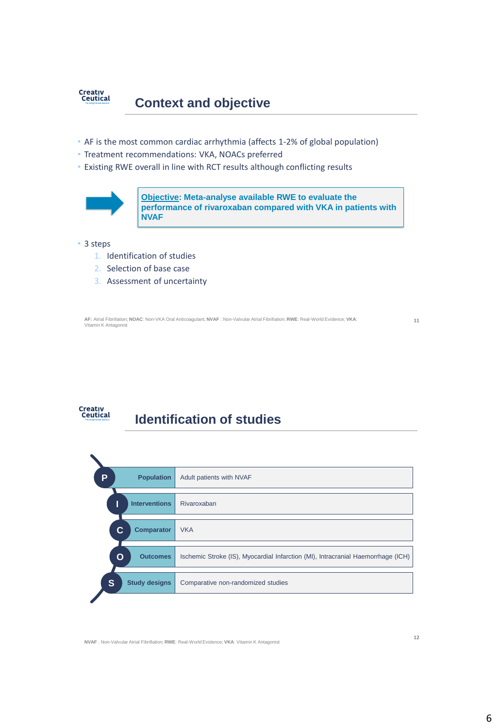

- AF is the most common cardiac arrhythmia (affects 1-2% of global population)
- Treatment recommendations: VKA, NOACs preferred
- Existing RWE overall in line with RCT results although conflicting results



**Objective: Meta-analyse available RWE to evaluate the performance of rivaroxaban compared with VKA in patients with NVAF**

#### • 3 steps

- 1. Identification of studies
- 2. Selection of base case
- 3. Assessment of uncertainty

**AF:** Atrial Fibrillation; **NOAC**: Non-VKA Oral Anticoagulant; **NVAF** : Non-Valvular Atrial Fibrillation; **RWE**: Real-World Evidence; **VKA**: Vitamin K Antagonist

**11**

# Creativ<br>Ceutical

### **Identification of studies**



**NVAF** : Non-Valvular Atrial Fibrillation; **RWE**: Real-World Evidence; **VKA**: Vitamin K Antagonist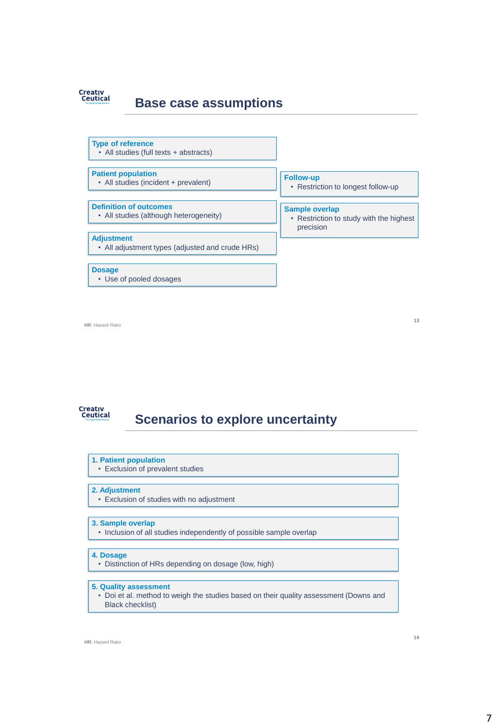

### **Base case assumptions**



**HR**: Hazard Ratio

**13**

# **Creativ<br>Ceutical**

# **Scenarios to explore uncertainty**

- **1. Patient population**
- Exclusion of prevalent studies

#### **2. Adjustment**

• Exclusion of studies with no adjustment

#### **3. Sample overlap**

• Inclusion of all studies independently of possible sample overlap

#### **4. Dosage**

• Distinction of HRs depending on dosage (low, high)

#### **5. Quality assessment**

• Doi et al. method to weigh the studies based on their quality assessment (Downs and Black checklist)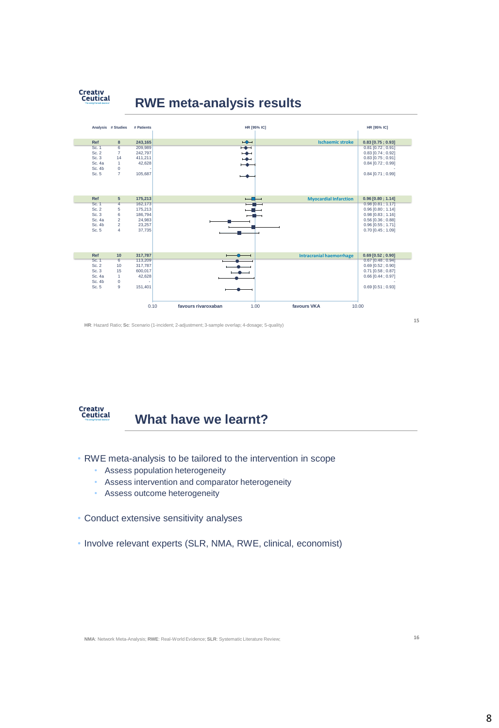

### **RWE meta-analysis results**



**HR**: Hazard Ratio; **Sc**: Scenario (1-incident; 2-adjustment; 3-sample overlap; 4-dosage; 5-quality)



### **What have we learnt?**

- RWE meta-analysis to be tailored to the intervention in scope
	- Assess population heterogeneity
	- Assess intervention and comparator heterogeneity
	- Assess outcome heterogeneity
- Conduct extensive sensitivity analyses
- Involve relevant experts (SLR, NMA, RWE, clinical, economist)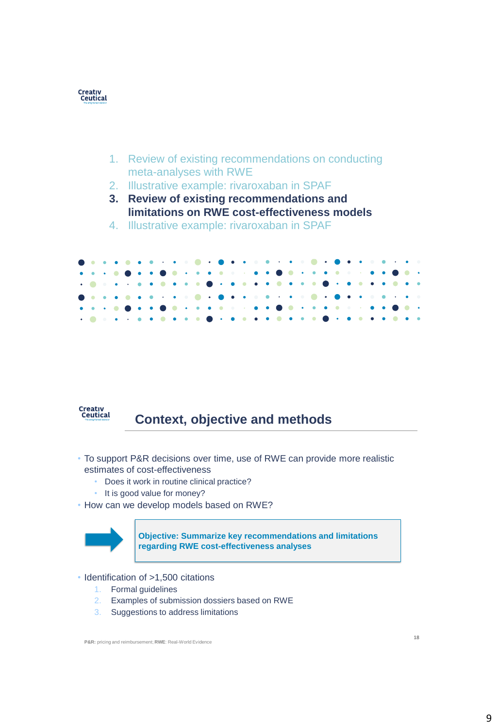

- 1. Review of existing recommendations on conducting meta-analyses with RWE
- 2. Illustrative example: rivaroxaban in SPAF
- **3. Review of existing recommendations and limitations on RWE cost-effectiveness models**
- 4. Illustrative example: rivaroxaban in SPAF





# **Context, objective and methods**

- To support P&R decisions over time, use of RWE can provide more realistic estimates of cost-effectiveness
	- Does it work in routine clinical practice?
	- It is good value for money?
- How can we develop models based on RWE?



**Objective: Summarize key recommendations and limitations regarding RWE cost-effectiveness analyses**

- Identification of >1,500 citations
	- 1. Formal guidelines
	- 2. Examples of submission dossiers based on RWE
	- 3. Suggestions to address limitations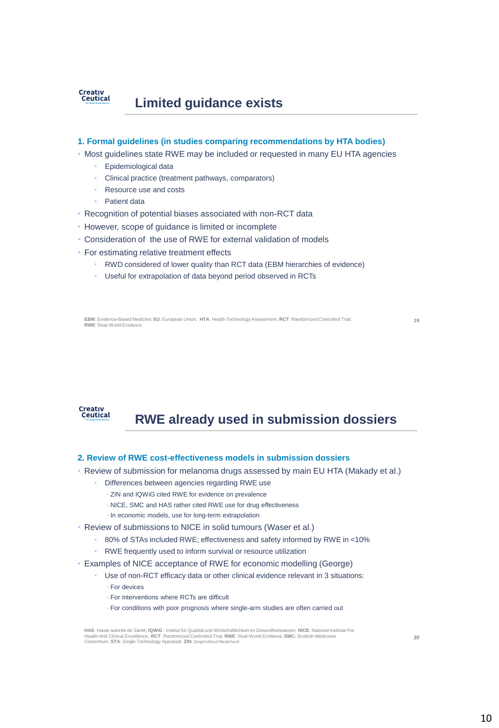

#### **1. Formal guidelines (in studies comparing recommendations by HTA bodies)**

- Most guidelines state RWE may be included or requested in many EU HTA agencies
	- Epidemiological data
	- Clinical practice (treatment pathways, comparators)
	- Resource use and costs
	- Patient data
- Recognition of potential biases associated with non-RCT data
- However, scope of guidance is limited or incomplete
- Consideration of the use of RWE for external validation of models
- For estimating relative treatment effects
	- RWD considered of lower quality than RCT data (EBM hierarchies of evidence)
	- Useful for extrapolation of data beyond period observed in RCTs

**EBM**: Evidence-Based Medicine; **EU**: European Union; **HTA**: Health Technology Assessment; **RCT**: Randomized Controlled Trial; **19 RWE**: Real-World Evidence

Creativ<br>Ceutical

# **RWE already used in submission dossiers**

#### **2. Review of RWE cost-effectiveness models in submission dossiers**

- Review of submission for melanoma drugs assessed by main EU HTA (Makady et al.)
	- Differences between agencies regarding RWE use
	- ZIN and IQWiG cited RWE for evidence on prevalence
	- NICE, SMC and HAS rather cited RWE use for drug effectiveness
	- In economic models, use for long-term extrapolation
- Review of submissions to NICE in solid tumours (Waser et al.)
	- 80% of STAs included RWE; effectiveness and safety informed by RWE in <10%
	- RWE frequently used to inform survival or resource utilization
- Examples of NICE acceptance of RWE for economic modelling (George)
	- Use of non-RCT efficacy data or other clinical evidence relevant in 3 situations: • For devices
		- For interventions where RCTs are difficult
		- For conditions with poor prognosis where single-arm studies are often carried out

**HAS**: Haute autorité de Santé; **IQWiG** : Institut für Qualität und Wirtschaftlichkeit im Gesundheitswesen; **NICE**: National Institute For<br>Health And Clinical Excellence; **RC**T: Randomized Controlled Trial; RWE: Real-World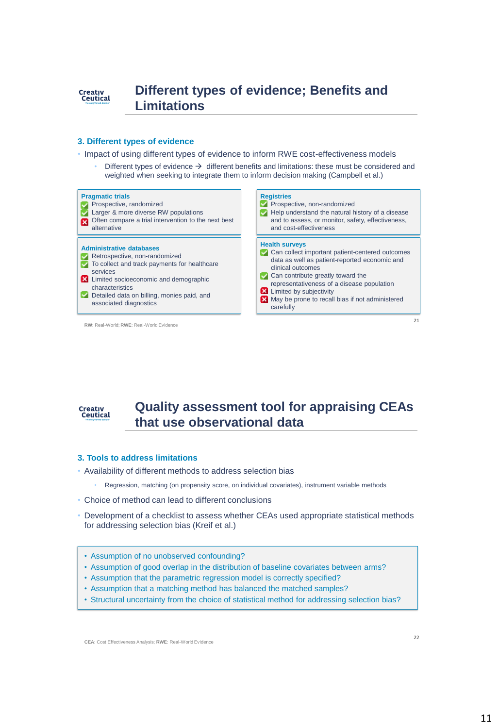

#### **3. Different types of evidence**

• Impact of using different types of evidence to inform RWE cost-effectiveness models

Different types of evidence  $\rightarrow$  different benefits and limitations: these must be considered and weighted when seeking to integrate them to inform decision making (Campbell et al.)





### **Quality assessment tool for appraising CEAs that use observational data**

#### **3. Tools to address limitations**

- Availability of different methods to address selection bias
	- Regression, matching (on propensity score, on individual covariates), instrument variable methods
- Choice of method can lead to different conclusions
- Development of a checklist to assess whether CEAs used appropriate statistical methods for addressing selection bias (Kreif et al.)
- Assumption of no unobserved confounding?
- Assumption of good overlap in the distribution of baseline covariates between arms?
- Assumption that the parametric regression model is correctly specified?
- Assumption that a matching method has balanced the matched samples?
- Structural uncertainty from the choice of statistical method for addressing selection bias?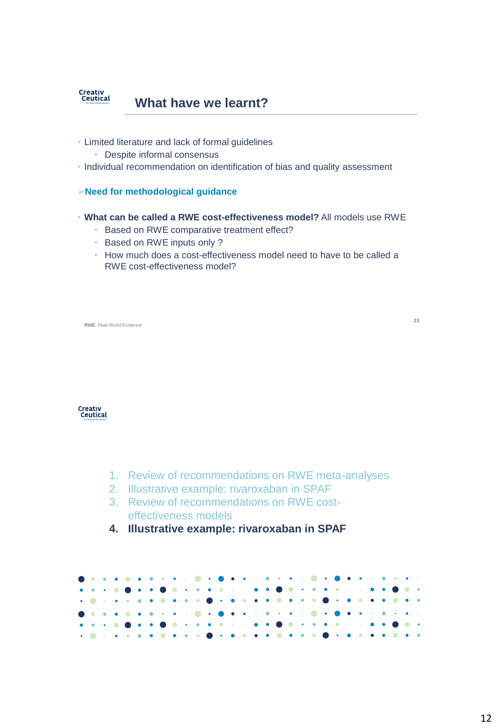

- Limited literature and lack of formal guidelines
	- Despite informal consensus
- Individual recommendation on identification of bias and quality assessment
- **Need for methodological guidance**
- **What can be called a RWE cost-effectiveness model?** All models use RWE
	- Based on RWE comparative treatment effect?
	- Based on RWE inputs only ?
	- How much does a cost-effectiveness model need to have to be called a RWE cost-effectiveness model?

**RWE**: Real-World Evidence



- 1. Review of recommendations on RWE meta-analyses
- 2. Illustrative example: rivaroxaban in SPAF
- 3. Review of recommendations on RWE costeffectiveness models
- **4. Illustrative example: rivaroxaban in SPAF**

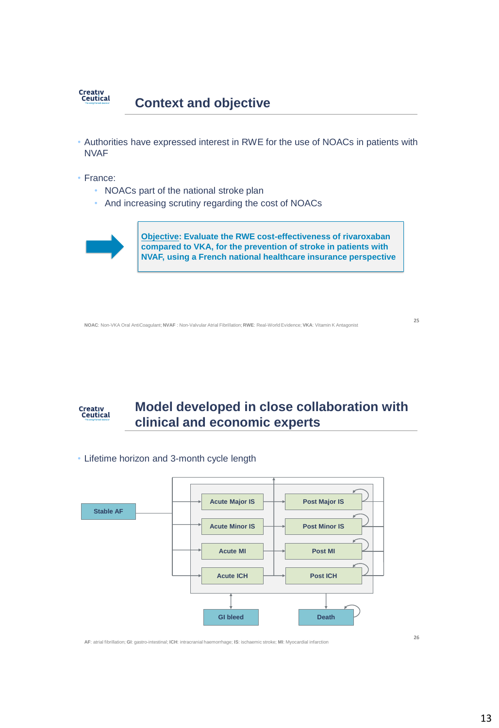

- Authorities have expressed interest in RWE for the use of NOACs in patients with NVAF
- France:
	- NOACs part of the national stroke plan
	- And increasing scrutiny regarding the cost of NOACs



**Objective: Evaluate the RWE cost-effectiveness of rivaroxaban compared to VKA, for the prevention of stroke in patients with NVAF, using a French national healthcare insurance perspective**

**NOAC**: Non-VKA Oral AntiCoagulant; **NVAF** : Non-Valvular Atrial Fibrillation; **RWE**: Real-World Evidence; **VKA**: Vitamin K Antagonist



## **Model developed in close collaboration with clinical and economic experts**



• Lifetime horizon and 3-month cycle length

**AF**: atrial fibrillation; **GI**: gastro-intestinal; **ICH**: intracranial haemorrhage; **IS**: ischaemic stroke; **MI**: Myocardial infarction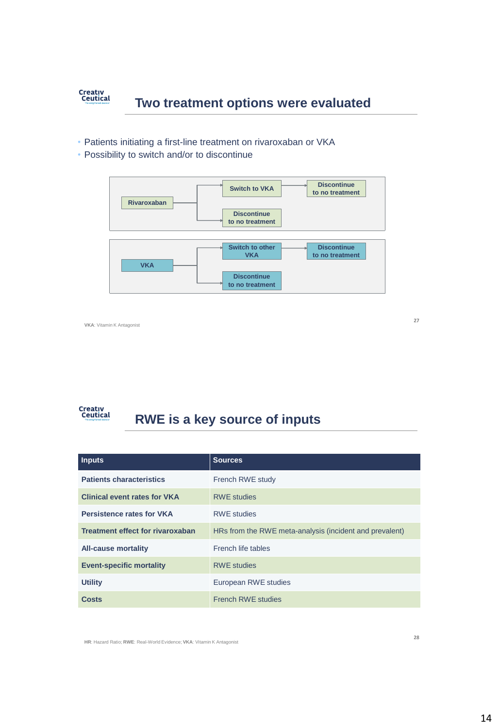

#### • Patients initiating a first-line treatment on rivaroxaban or VKA

• Possibility to switch and/or to discontinue



**VKA**: Vitamin K Antagonist

**27**

#### Creativ<br>Ceutical **RWE is a key source of inputs**

| <b>Inputs</b>                           | <b>Sources</b>                                          |  |
|-----------------------------------------|---------------------------------------------------------|--|
| <b>Patients characteristics</b>         | French RWE study                                        |  |
| <b>Clinical event rates for VKA</b>     | <b>RWE studies</b>                                      |  |
| <b>Persistence rates for VKA</b>        | <b>RWF</b> studies                                      |  |
| <b>Treatment effect for rivaroxaban</b> | HRs from the RWE meta-analysis (incident and prevalent) |  |
| <b>All-cause mortality</b>              | French life tables                                      |  |
| <b>Event-specific mortality</b>         | <b>RWE studies</b>                                      |  |
| <b>Utility</b>                          | European RWE studies                                    |  |
| <b>Costs</b>                            | <b>French RWE studies</b>                               |  |

**HR**: Hazard Ratio; **RWE**: Real-World Evidence; **VKA**: Vitamin K Antagonist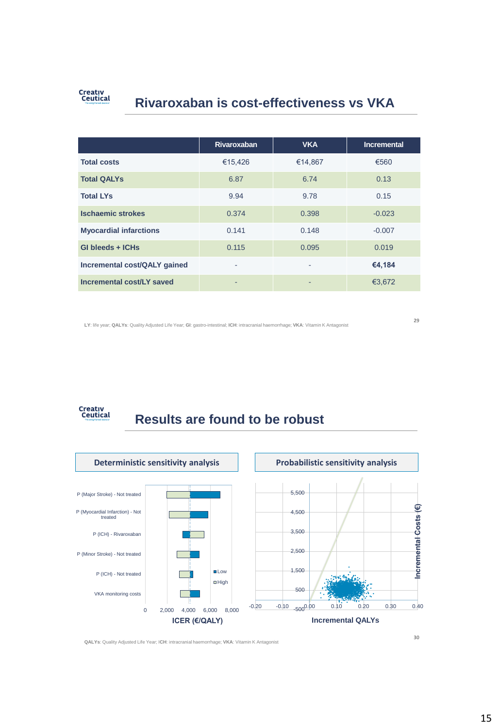

# **Rivaroxaban is cost-effectiveness vs VKA**

|                               | <b>Rivaroxaban</b>       | <b>VKA</b> | <b>Incremental</b> |
|-------------------------------|--------------------------|------------|--------------------|
| <b>Total costs</b>            | €15,426                  | €14,867    | €560               |
| <b>Total QALYs</b>            | 6.87                     | 6.74       | 0.13               |
| <b>Total LYs</b>              | 9.94                     | 9.78       | 0.15               |
| <b>Ischaemic strokes</b>      | 0.374                    | 0.398      | $-0.023$           |
| <b>Myocardial infarctions</b> | 0.141                    | 0.148      | $-0.007$           |
| GI bleeds + ICHs              | 0.115                    | 0.095      | 0.019              |
| Incremental cost/QALY gained  | ٠                        | ٠          | €4,184             |
| Incremental cost/LY saved     | $\overline{\phantom{0}}$ | ۰          | €3,672             |

**LY**: life year; **QALYs**: Quality Adjusted Life Year; **GI**: gastro-intestinal; **ICH**: intracranial haemorrhage; **VKA**: Vitamin K Antagonist

**29**



# **Results are found to be robust**



**QALYs**: Quality Adjusted Life Year; I**CH**: intracranial haemorrhage; **VKA**: Vitamin K Antagonist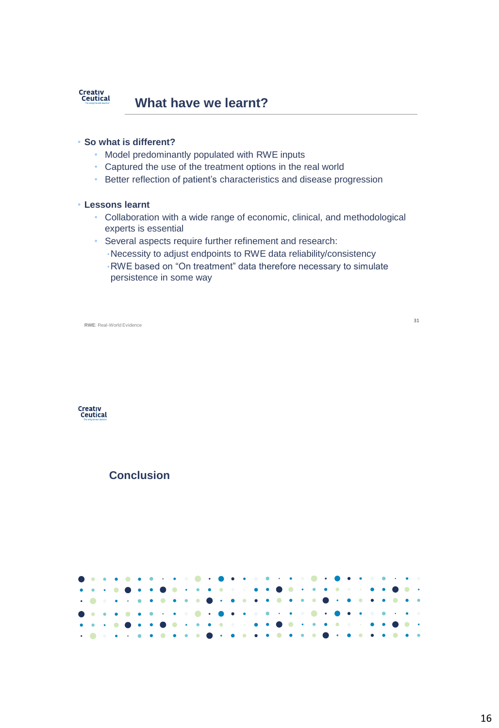

#### • **So what is different?**

- Model predominantly populated with RWE inputs
- Captured the use of the treatment options in the real world
- Better reflection of patient's characteristics and disease progression

#### • **Lessons learnt**

- Collaboration with a wide range of economic, clinical, and methodological experts is essential
- Several aspects require further refinement and research:
	- •Necessity to adjust endpoints to RWE data reliability/consistency
	- •RWE based on "On treatment" data therefore necessary to simulate persistence in some way

**RWE**: Real-World Evidence

**31**



### **Conclusion**

 $\bullet$  $\bullet$  $\bullet$ ٠  $\ddot{\phantom{0}}$ ò  $\ddot{\phantom{a}}$  $\bullet$  $\bullet$ ö  $\bullet$  $\bullet$  $\bullet$  $\bullet$  $\bullet$  $\bullet$ ۵  $\ddot{\phantom{a}}$  $\bullet$  $\bullet$ ٠  $\bullet$  $\bullet$ ä  $\bullet$  $\bullet$  $\bullet$  $\bullet$  $\bullet$  $\bullet$  $\blacksquare$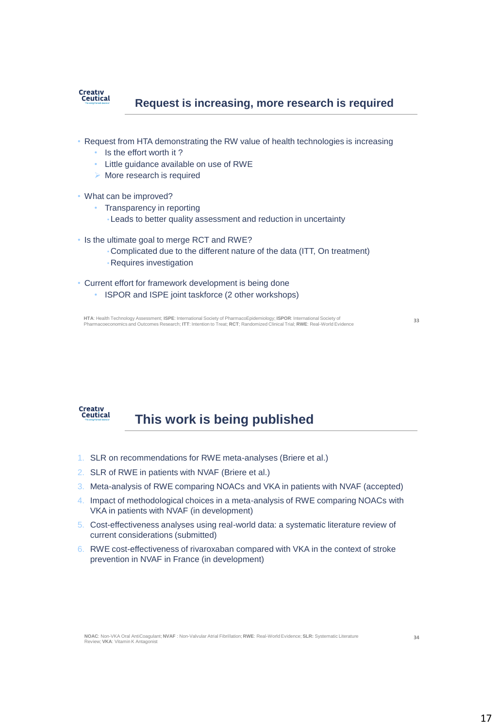

#### **Request is increasing, more research is required**

- Request from HTA demonstrating the RW value of health technologies is increasing
	- Is the effort worth it?
	- Little guidance available on use of RWE
	- $\triangleright$  More research is required
- What can be improved?
	- Transparency in reporting
		- •Leads to better quality assessment and reduction in uncertainty
- Is the ultimate goal to merge RCT and RWE?
	- •Complicated due to the different nature of the data (ITT, On treatment)
	- •Requires investigation
- Current effort for framework development is being done
	- ISPOR and ISPE joint taskforce (2 other workshops)

HTA: Health Technology Assessment; ISPE: International Society of PharmacoEpidemiology; ISPOR: International Society of<br>Pharmacoeconomics and Outcomes Research; ITT: Intention to Treat; RCT; Randomized Clinical Trial; RWE:



# **This work is being published**

- 1. SLR on recommendations for RWE meta-analyses (Briere et al.)
- 2. SLR of RWE in patients with NVAF (Briere et al.)
- 3. Meta-analysis of RWE comparing NOACs and VKA in patients with NVAF (accepted)
- 4. Impact of methodological choices in a meta-analysis of RWE comparing NOACs with VKA in patients with NVAF (in development)
- 5. Cost-effectiveness analyses using real-world data: a systematic literature review of current considerations (submitted)
- 6. RWE cost-effectiveness of rivaroxaban compared with VKA in the context of stroke prevention in NVAF in France (in development)